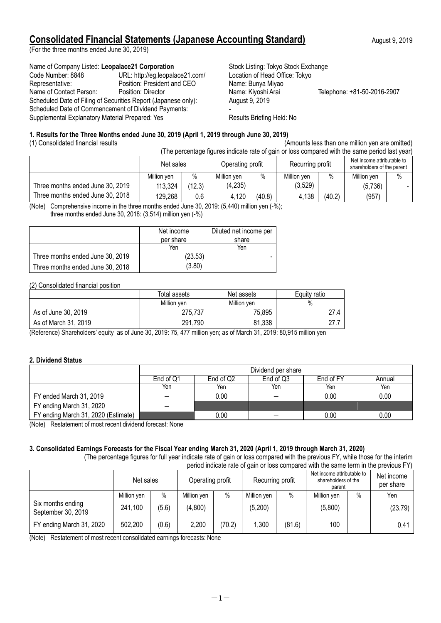# **Consolidated Financial Statements (Japanese Accounting Standard)** August 9, 2019

(For the three months ended June 30, 2019)

#### Name of Company Listed: Leopalace21 Corporation **Stock Listing: Tokyo Stock Exchange**

| Code Number: 8848                                              | URL: http://eg.leopalace21.com/ | Location of Head Office: |
|----------------------------------------------------------------|---------------------------------|--------------------------|
| Representative:                                                | Position: President and CEO     | Name: Bunya Miyao        |
| Name of Contact Person:                                        | Position: Director              | Name: Kiyoshi Arai       |
| Scheduled Date of Filing of Securities Report (Japanese only): |                                 | August 9, 2019           |
| Scheduled Date of Commencement of Dividend Payments:           |                                 |                          |
| Supplemental Explanatory Material Prepared: Yes                | Results Briefing Held: No       |                          |

Location of Head Office: Tokyo Name: Bunya Miyao Name: Kiyoshi Arai Telephone: +81-50-2016-2907 August 9, 2019

### **1. Results for the Three Months ended June 30, 2019 (April 1, 2019 through June 30, 2019)**

(1) Consolidated financial results (Amounts less than one million yen are omitted)

| (The percentage figures indicate rate of gain or loss compared with the same period last year) |             |        |                  |        |                  |               |                                                          |      |
|------------------------------------------------------------------------------------------------|-------------|--------|------------------|--------|------------------|---------------|----------------------------------------------------------|------|
|                                                                                                | Net sales   |        | Operating profit |        | Recurring profit |               | Net income attributable to<br>shareholders of the parent |      |
|                                                                                                | Million ven | $\%$   | Million ven      | $\%$   | Million yen      | $\frac{0}{0}$ | Million yen                                              | $\%$ |
| Three months ended June 30, 2019                                                               | 113,324     | (12.3) | (4,235)          |        | (3,529)          |               | (5,736)                                                  |      |
| Three months ended June 30, 2018                                                               | 129,268     | 0.6    | 4,120            | (40.8) | 4,138            | (40.2)        | (957)                                                    |      |

(Note) Comprehensive income in the three months ended June 30, 2019: (5,440) million yen (-%);

three months ended June 30, 2018: (3,514) million yen (-%)

|                                  | Net income | Diluted net income per |
|----------------------------------|------------|------------------------|
|                                  | per share  | share                  |
|                                  | Yen        | Yen                    |
| Three months ended June 30, 2019 | (23.53)    |                        |
| Three months ended June 30, 2018 | (3.80)     |                        |

#### (2) Consolidated financial position

|                      | Total assets | Net assets  | Equity ratio |
|----------------------|--------------|-------------|--------------|
|                      | Million yen  | Million yen | %            |
| As of June 30, 2019  | 275,737      | 75,895      | 27.4         |
| As of March 31, 2019 | 291,790      | 81.338      | 27.7         |

(Reference) Shareholders' equity as of June 30, 2019: 75, 477 million yen; as of March 31, 2019: 80,915 million yen

### **2. Dividend Status**

|                                     | Dividend per share |                                                           |                          |      |      |  |  |  |
|-------------------------------------|--------------------|-----------------------------------------------------------|--------------------------|------|------|--|--|--|
|                                     | End of Q1          | End of Q <sub>2</sub><br>End of Q3<br>End of FY<br>Annual |                          |      |      |  |  |  |
|                                     | Yen                | Yen                                                       | Yen                      | Yen  | Yen  |  |  |  |
| FY ended March 31, 2019             |                    | $0.00\,$                                                  | $\overline{\phantom{0}}$ | 0.00 | 0.00 |  |  |  |
| FY ending March 31, 2020            |                    |                                                           |                          |      |      |  |  |  |
| FY ending March 31, 2020 (Estimate) |                    | 0.00                                                      |                          | 0.00 | 0.00 |  |  |  |

(Note) Restatement of most recent dividend forecast: None

# **3. Consolidated Earnings Forecasts for the Fiscal Year ending March 31, 2020 (April 1, 2019 through March 31, 2020)**

(The percentage figures for full year indicate rate of gain or loss compared with the previous FY, while those for the interim period indicate rate of gain or loss compared with the same term in the previous FY)

|                                         | Net sales   |       | Operating profit |        | Recurring profit |        | Net income attributable to<br>shareholders of the<br>parent |      | Net income<br>per share |
|-----------------------------------------|-------------|-------|------------------|--------|------------------|--------|-------------------------------------------------------------|------|-------------------------|
|                                         | Million yen | $\%$  | Million yen      | $\%$   | Million yen      | $\%$   | Million yen                                                 | $\%$ | Yen                     |
| Six months ending<br>September 30, 2019 | 241,100     | (5.6) | (4,800)          |        | (5,200)          |        | (5,800)                                                     |      | (23.79)                 |
| FY ending March 31, 2020                | 502,200     | (0.6) | 2,200            | (70.2) | 1,300            | (81.6) | 100                                                         |      | 0.41                    |

(Note) Restatement of most recent consolidated earnings forecasts: None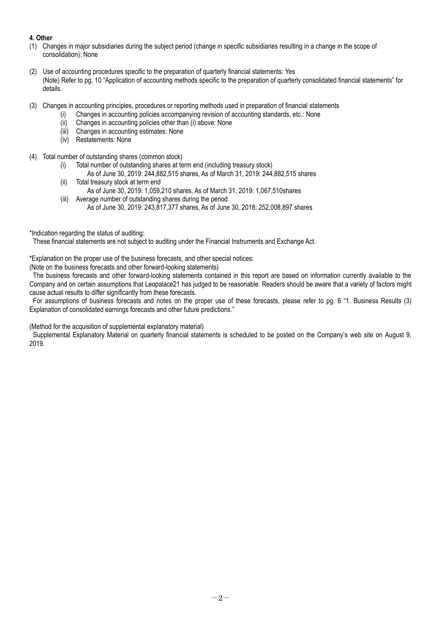## **4. Other**

- (1) Changes in major subsidiaries during the subject period (change in specific subsidiaries resulting in a change in the scope of consolidation): None
- (2) Use of accounting procedures specific to the preparation of quarterly financial statements: Yes (Note) Refer to pg. 10 "Application of accounting methods specific to the preparation of quarterly consolidated financial statements" for details.
- (3) Changes in accounting principles, procedures or reporting methods used in preparation of financial statements
	- (i) Changes in accounting policies accompanying revision of accounting standards, etc.: None
		- (ii) Changes in accounting policies other than (i) above: None
		- (iii) Changes in accounting estimates: None
		- (iv) Restatements: None
- (4) Total number of outstanding shares (common stock)
	- (i) Total number of outstanding shares at term end (including treasury stock)
		- As of June 30, 2019: 244,882,515 shares, As of March 31, 2019: 244,882,515 shares
	- (ii) Total treasury stock at term end As of June 30, 2019: 1,059,210 shares, As of March 31, 2019: 1,067,510shares
	- (iii) Average number of outstanding shares during the period As of June 30, 2019: 243,817,377 shares, As of June 30, 2018: 252,008,897 shares
- \*Indication regarding the status of auditing:

These financial statements are not subject to auditing under the Financial Instruments and Exchange Act.

\*Explanation on the proper use of the business forecasts, and other special notices:

(Note on the business forecasts and other forward-looking statements)

The business forecasts and other forward-looking statements contained in this report are based on information currently available to the Company and on certain assumptions that Leopalace21 has judged to be reasonable. Readers should be aware that a variety of factors might cause actual results to differ significantly from these forecasts.

For assumptions of business forecasts and notes on the proper use of these forecasts, please refer to pg. 6 "1. Business Results (3) Explanation of consolidated earnings forecasts and other future predictions."

(Method for the acquisition of supplemental explanatory material)

Supplemental Explanatory Material on quarterly financial statements is scheduled to be posted on the Company's web site on August 9, 2019.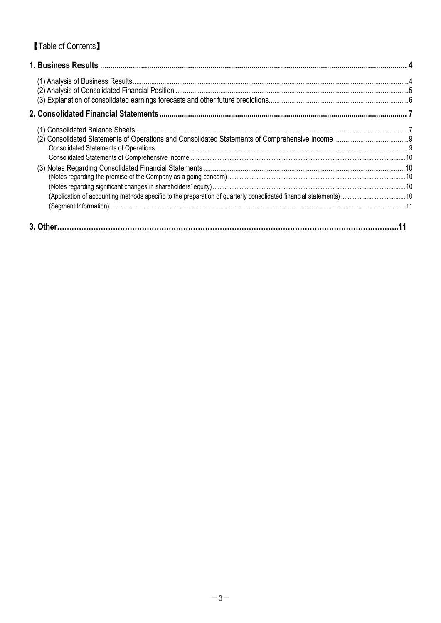# **Table of Contents**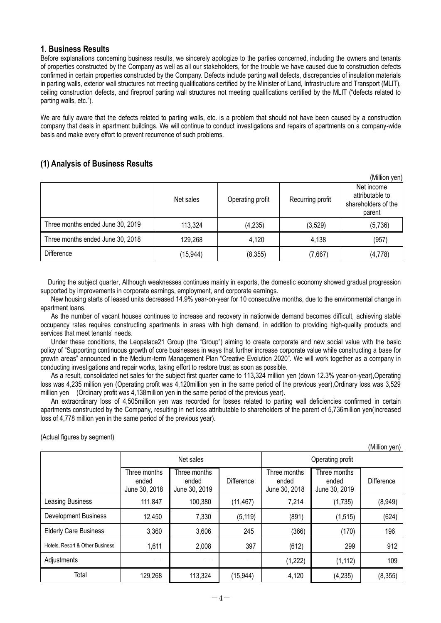### <span id="page-3-0"></span>**1. Business Results**

Before explanations concerning business results, we sincerely apologize to the parties concerned, including the owners and tenants of properties constructed by the Company as well as all our stakeholders, for the trouble we have caused due to construction defects confirmed in certain properties constructed by the Company. Defects include parting wall defects, discrepancies of insulation materials in parting walls, exterior wall structures not meeting qualifications certified by the Minister of Land, Infrastructure and Transport (MLIT), ceiling construction defects, and fireproof parting wall structures not meeting qualifications certified by the MLIT ("defects related to parting walls, etc.").

We are fully aware that the defects related to parting walls, etc. is a problem that should not have been caused by a construction company that deals in apartment buildings. We will continue to conduct investigations and repairs of apartments on a company-wide basis and make every effort to prevent recurrence of such problems.

# <span id="page-3-1"></span>**(1) Analysis of Business Results**

|                                  |           |                  |                  | (Million yen)                                                  |
|----------------------------------|-----------|------------------|------------------|----------------------------------------------------------------|
|                                  | Net sales | Operating profit | Recurring profit | Net income<br>attributable to<br>shareholders of the<br>parent |
| Three months ended June 30, 2019 | 113,324   | (4,235)          | (3,529)          | (5,736)                                                        |
| Three months ended June 30, 2018 | 129,268   | 4,120            | 4,138            | (957)                                                          |
| <b>Difference</b>                | (15, 944) | (8,355)          | (7,667)          | (4, 778)                                                       |

During the subject quarter, Although weaknesses continues mainly in exports, the domestic economy showed gradual progression supported by improvements in corporate earnings, employment, and corporate earnings.

New housing starts of leased units decreased 14.9% year-on-year for 10 consecutive months, due to the environmental change in apartment loans.

As the number of vacant houses continues to increase and recovery in nationwide demand becomes difficult, achieving stable occupancy rates requires constructing apartments in areas with high demand, in addition to providing high-quality products and services that meet tenants' needs.

Under these conditions, the Leopalace21 Group (the "Group") aiming to create corporate and new social value with the basic policy of "Supporting continuous growth of core businesses in ways that further increase corporate value while constructing a base for growth areas" announced in the Medium-term Management Plan "Creative Evolution 2020". We will work together as a company in conducting investigations and repair works, taking effort to restore trust as soon as possible.

As a result, consolidated net sales for the subject first quarter came to 113,324 million yen (down 12.3% year-on-year),Operating loss was 4,235 million yen (Operating profit was 4,120million yen in the same period of the previous year),Ordinary loss was 3,529 million yen (Ordinary profit was 4,138million yen in the same period of the previous year).

An extraordinary loss of 4,505million yen was recorded for losses related to parting wall deficiencies confirmed in certain apartments constructed by the Company, resulting in net loss attributable to shareholders of the parent of 5,736million yen(Increased loss of 4,778 million yen in the same period of the previous year).

(Million yen)

(Actual figures by segment)

|                                 |                                        |                                        |            |                                        |                                        | (IVIIIIION YEN) |
|---------------------------------|----------------------------------------|----------------------------------------|------------|----------------------------------------|----------------------------------------|-----------------|
|                                 |                                        | Net sales                              |            |                                        | Operating profit                       |                 |
|                                 | Three months<br>ended<br>June 30, 2018 | Three months<br>ended<br>June 30, 2019 | Difference | Three months<br>ended<br>June 30, 2018 | Three months<br>ended<br>June 30, 2019 | Difference      |
| Leasing Business                | 111,847                                | 100,380                                | (11, 467)  | 7,214                                  | (1,735)                                | (8,949)         |
| <b>Development Business</b>     | 12,450                                 | 7,330                                  | (5, 119)   | (891)                                  | (1, 515)                               | (624)           |
| <b>Elderly Care Business</b>    | 3,360                                  | 3,606                                  | 245        | (366)                                  | (170)                                  | 196             |
| Hotels, Resort & Other Business | 1,611                                  | 2,008                                  | 397        | (612)                                  | 299                                    | 912             |
| Adjustments                     |                                        |                                        |            | (1,222)                                | (1, 112)                               | 109             |
| Total                           | 129,268                                | 113,324                                | (15, 944)  | 4,120                                  | (4,235)                                | (8, 355)        |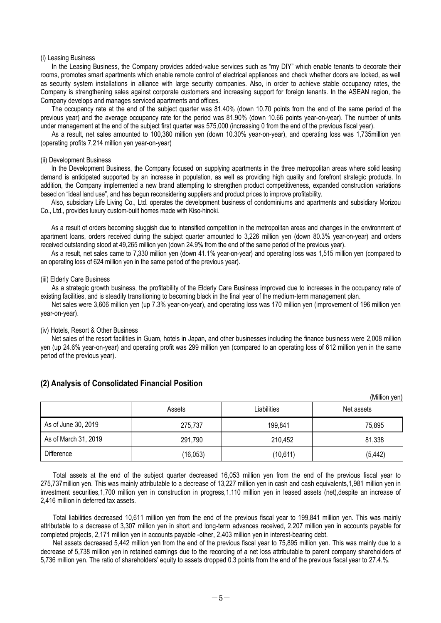#### (i) Leasing Business

In the Leasing Business, the Company provides added-value services such as "my DIY" which enable tenants to decorate their rooms, promotes smart apartments which enable remote control of electrical appliances and check whether doors are locked, as well as security system installations in alliance with large security companies. Also, in order to achieve stable occupancy rates, the Company is strengthening sales against corporate customers and increasing support for foreign tenants. In the ASEAN region, the Company develops and manages serviced apartments and offices.

The occupancy rate at the end of the subject quarter was 81.40% (down 10.70 points from the end of the same period of the previous year) and the average occupancy rate for the period was 81.90% (down 10.66 points year-on-year). The number of units under management at the end of the subject first quarter was 575,000 (increasing 0 from the end of the previous fiscal year).

As a result, net sales amounted to 100,380 million yen (down 10.30% year-on-year), and operating loss was 1,735million yen (operating profits 7,214 million yen year-on-year)

#### (ii) Development Business

In the Development Business, the Company focused on supplying apartments in the three metropolitan areas where solid leasing demand is anticipated supported by an increase in population, as well as providing high quality and forefront strategic products. In addition, the Company implemented a new brand attempting to strengthen product competitiveness, expanded construction variations based on "ideal land use", and has begun reconsidering suppliers and product prices to improve profitability.

Also, subsidiary Life Living Co., Ltd. operates the development business of condominiums and apartments and subsidiary Morizou Co., Ltd., provides luxury custom-built homes made with Kiso-hinoki.

As a result of orders becoming sluggish due to intensified competition in the metropolitan areas and changes in the environment of apartment loans, orders received during the subject quarter amounted to 3,226 million yen (down 80.3% year-on-year) and orders received outstanding stood at 49,265 million yen (down 24.9% from the end of the same period of the previous year).

As a result, net sales came to 7,330 million yen (down 41.1% year-on-year) and operating loss was 1,515 million yen (compared to an operating loss of 624 million yen in the same period of the previous year).

#### (iii) Elderly Care Business

As a strategic growth business, the profitability of the Elderly Care Business improved due to increases in the occupancy rate of existing facilities, and is steadily transitioning to becoming black in the final year of the medium-term management plan.

Net sales were 3,606 million yen (up 7.3% year-on-year), and operating loss was 170 million yen (improvement of 196 million yen year-on-year).

#### (iv) Hotels, Resort & Other Business

Net sales of the resort facilities in Guam, hotels in Japan, and other businesses including the finance business were 2,008 million yen (up 24.6% year-on-year) and operating profit was 299 million yen (compared to an operating loss of 612 million yen in the same period of the previous year).

|                      |           |             | (IVIIIIIUIT VEIT) |
|----------------------|-----------|-------------|-------------------|
|                      | Assets    | Liabilities | Net assets        |
| As of June 30, 2019  | 275.737   | 199,841     | 75,895            |
| As of March 31, 2019 | 291,790   | 210,452     | 81,338            |
| Difference           | (16, 053) | (10, 611)   | (5, 442)          |

 $(M)$ llion yen)

#### <span id="page-4-0"></span>**(2) Analysis of Consolidated Financial Position**

Total assets at the end of the subject quarter decreased 16,053 million yen from the end of the previous fiscal year to 275,737million yen. This was mainly attributable to a decrease of 13,227 million yen in cash and cash equivalents,1,981 million yen in investment securities,1,700 million yen in construction in progress,1,110 million yen in leased assets (net),despite an increase of 2,416 million in deferred tax assets.

Total liabilities decreased 10,611 million yen from the end of the previous fiscal year to 199,841 million yen. This was mainly attributable to a decrease of 3,307 million yen in short and long-term advances received, 2,207 million yen in accounts payable for completed projects, 2,171 million yen in accounts payable -other, 2,403 million yen in interest-bearing debt.

Net assets decreased 5,442 million yen from the end of the previous fiscal year to 75,895 million yen. This was mainly due to a decrease of 5,738 million yen in retained earnings due to the recording of a net loss attributable to parent company shareholders of 5,736 million yen. The ratio of shareholders' equity to assets dropped 0.3 points from the end of the previous fiscal year to 27.4.%.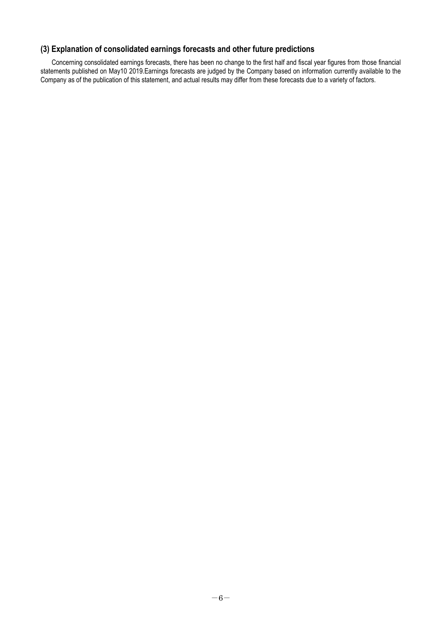# <span id="page-5-0"></span>**(3) Explanation of consolidated earnings forecasts and other future predictions**

Concerning consolidated earnings forecasts, there has been no change to the first half and fiscal year figures from those financial statements published on May10 2019.Earnings forecasts are judged by the Company based on information currently available to the Company as of the publication of this statement, and actual results may differ from these forecasts due to a variety of factors.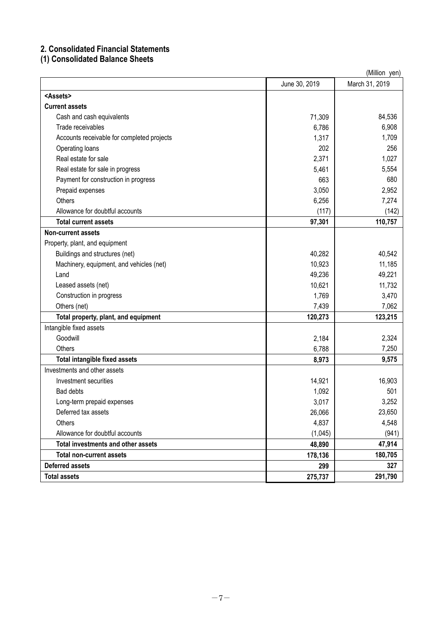# <span id="page-6-0"></span>**2. Consolidated Financial Statements**

# <span id="page-6-1"></span>**(1) Consolidated Balance Sheets**

| (Million yen)                              |               |                |  |  |
|--------------------------------------------|---------------|----------------|--|--|
|                                            | June 30, 2019 | March 31, 2019 |  |  |
| <assets></assets>                          |               |                |  |  |
| <b>Current assets</b>                      |               |                |  |  |
| Cash and cash equivalents                  | 71,309        | 84,536         |  |  |
| Trade receivables                          | 6,786         | 6,908          |  |  |
| Accounts receivable for completed projects | 1,317         | 1,709          |  |  |
| Operating loans                            | 202           | 256            |  |  |
| Real estate for sale                       | 2,371         | 1,027          |  |  |
| Real estate for sale in progress           | 5,461         | 5,554          |  |  |
| Payment for construction in progress       | 663           | 680            |  |  |
| Prepaid expenses                           | 3,050         | 2,952          |  |  |
| <b>Others</b>                              | 6,256         | 7,274          |  |  |
| Allowance for doubtful accounts            | (117)         | (142)          |  |  |
| <b>Total current assets</b>                | 97,301        | 110,757        |  |  |
| <b>Non-current assets</b>                  |               |                |  |  |
| Property, plant, and equipment             |               |                |  |  |
| Buildings and structures (net)             | 40,282        | 40,542         |  |  |
| Machinery, equipment, and vehicles (net)   | 10,923        | 11,185         |  |  |
| Land                                       | 49,236        | 49,221         |  |  |
| Leased assets (net)                        | 10,621        | 11,732         |  |  |
| Construction in progress                   | 1,769         | 3,470          |  |  |
| Others (net)                               | 7,439         | 7,062          |  |  |
| Total property, plant, and equipment       | 120,273       | 123,215        |  |  |
| Intangible fixed assets                    |               |                |  |  |
| Goodwill                                   | 2,184         | 2,324          |  |  |
| Others                                     | 6,788         | 7,250          |  |  |
| <b>Total intangible fixed assets</b>       | 8,973         | 9,575          |  |  |
| Investments and other assets               |               |                |  |  |
| Investment securities                      | 14,921        | 16,903         |  |  |
| Bad debts                                  | 1,092         | 501            |  |  |
| Long-term prepaid expenses                 | 3,017         | 3,252          |  |  |
| Deferred tax assets                        | 26,066        | 23,650         |  |  |
| Others                                     | 4,837         | 4,548          |  |  |
| Allowance for doubtful accounts            | (1,045)       | (941)          |  |  |
| <b>Total investments and other assets</b>  | 48,890        | 47,914         |  |  |
| <b>Total non-current assets</b>            | 178,136       | 180,705        |  |  |
| <b>Deferred assets</b>                     | 299           | 327            |  |  |
| <b>Total assets</b>                        | 275,737       | 291,790        |  |  |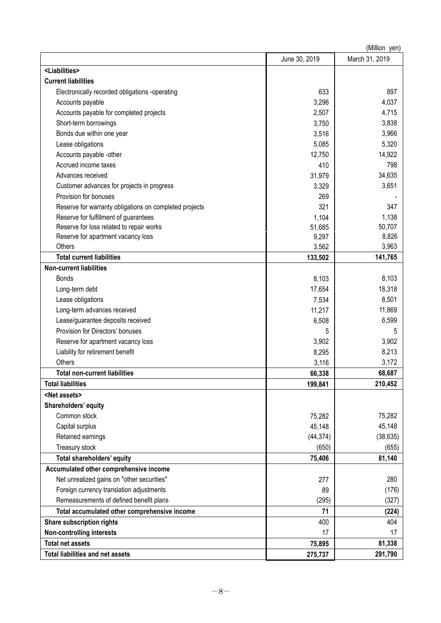| (Million yen)                                          |               |                |  |  |
|--------------------------------------------------------|---------------|----------------|--|--|
|                                                        | June 30, 2019 | March 31, 2019 |  |  |
| <liabilities></liabilities>                            |               |                |  |  |
| <b>Current liabilities</b>                             |               |                |  |  |
| Electronically recorded obligations -operating         | 633           | 897            |  |  |
| Accounts payable                                       | 3,296         | 4,037          |  |  |
| Accounts payable for completed projects                | 2,507         | 4,715          |  |  |
| Short-term borrowings                                  | 3,750         | 3,838          |  |  |
| Bonds due within one year                              | 3,516         | 3,966          |  |  |
| Lease obligations                                      | 5,085         | 5,320          |  |  |
| Accounts payable -other                                | 12,750        | 14,922         |  |  |
| Accrued income taxes                                   | 410           | 798            |  |  |
| Advances received                                      | 31,979        | 34,635         |  |  |
| Customer advances for projects in progress             | 3,329         | 3,651          |  |  |
| Provision for bonuses                                  | 269           |                |  |  |
| Reserve for warranty obligations on completed projects | 321           | 347            |  |  |
| Reserve for fulfillment of guarantees                  | 1,104         | 1,138          |  |  |
| Reserve for loss related to repair works               | 51,685        | 50,707         |  |  |
| Reserve for apartment vacancy loss                     | 9,297         | 8,826          |  |  |
| Others                                                 | 3,562         | 3,963          |  |  |
| <b>Total current liabilities</b>                       | 133,502       | 141,765        |  |  |
| <b>Non-current liabilities</b>                         |               |                |  |  |
| <b>Bonds</b>                                           | 8,103         | 8,103          |  |  |
| Long-term debt                                         | 17,654        | 18,318         |  |  |
| Lease obligations                                      | 7,534         | 8,501          |  |  |
| Long-term advances received                            | 11,217        | 11,869         |  |  |
| Lease/guarantee deposits received                      | 6,508         | 6,599          |  |  |
| Provision for Directors' bonuses                       | 5             | 5              |  |  |
| Reserve for apartment vacancy loss                     | 3,902         | 3,902          |  |  |
| Liability for retirement benefit                       | 8,295         | 8,213          |  |  |
| Others                                                 | 3,116         | 3,172          |  |  |
| <b>Total non-current liabilities</b>                   | 66,338        | 68,687         |  |  |
| <b>Total liabilities</b>                               | 199,841       | 210,452        |  |  |
| <net assets=""></net>                                  |               |                |  |  |
| Shareholders' equity                                   |               |                |  |  |
| Common stock                                           | 75,282        | 75,282         |  |  |
| Capital surplus                                        | 45,148        | 45,148         |  |  |
| Retained earnings                                      | (44, 374)     | (38, 635)      |  |  |
| Treasury stock                                         | (650)         | (655)          |  |  |
| Total shareholders' equity                             | 75,406        | 81,140         |  |  |
| Accumulated other comprehensive income                 |               |                |  |  |
| Net unrealized gains on "other securities"             | 277           | 280            |  |  |
| Foreign currency translation adjustments               | 89            | (176)          |  |  |
| Remeasurements of defined benefit plans                | (295)         | (327)          |  |  |
| Total accumulated other comprehensive income           | 71            | (224)          |  |  |
| Share subscription rights                              | 400           | 404            |  |  |
| <b>Non-controlling interests</b>                       | 17            | 17             |  |  |
| <b>Total net assets</b>                                | 75,895        | 81,338         |  |  |
| <b>Total liabilities and net assets</b>                | 275,737       | 291,790        |  |  |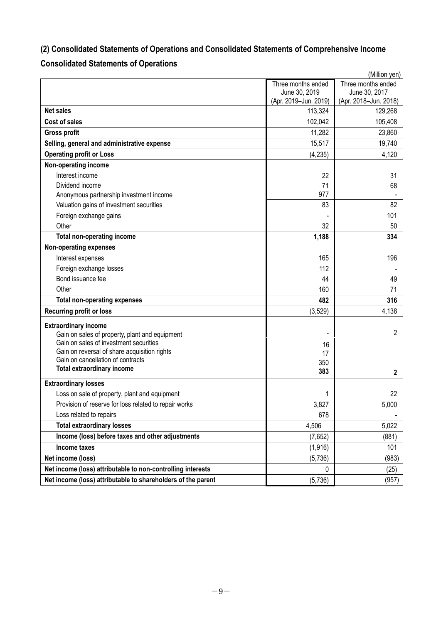# <span id="page-8-0"></span>**(2) Consolidated Statements of Operations and Consolidated Statements of Comprehensive Income**

# <span id="page-8-1"></span>**Consolidated Statements of Operations**

|                                                              |                       | (Million yen)         |
|--------------------------------------------------------------|-----------------------|-----------------------|
|                                                              | Three months ended    | Three months ended    |
|                                                              | June 30, 2019         | June 30, 2017         |
|                                                              | (Apr. 2019-Jun. 2019) | (Apr. 2018-Jun. 2018) |
| <b>Net sales</b>                                             | 113,324               | 129,268               |
| <b>Cost of sales</b>                                         | 102,042               | 105,408               |
| <b>Gross profit</b>                                          | 11,282                | 23,860                |
| Selling, general and administrative expense                  | 15,517                | 19,740                |
| <b>Operating profit or Loss</b>                              | (4, 235)              | 4,120                 |
| Non-operating income                                         |                       |                       |
| Interest income                                              | 22                    | 31                    |
| Dividend income                                              | 71                    | 68                    |
| Anonymous partnership investment income                      | 977                   |                       |
| Valuation gains of investment securities                     | 83                    | 82                    |
| Foreign exchange gains                                       |                       | 101                   |
| Other                                                        | 32                    | 50                    |
| <b>Total non-operating income</b>                            | 1,188                 | 334                   |
| <b>Non-operating expenses</b>                                |                       |                       |
| Interest expenses                                            | 165                   | 196                   |
| Foreign exchange losses                                      | 112                   |                       |
| Bond issuance fee                                            | 44                    | 49                    |
| Other                                                        | 160                   | 71                    |
| <b>Total non-operating expenses</b>                          | 482                   | 316                   |
| <b>Recurring profit or loss</b>                              | (3, 529)              | 4,138                 |
| <b>Extraordinary income</b>                                  |                       |                       |
| Gain on sales of property, plant and equipment               |                       | $\overline{2}$        |
| Gain on sales of investment securities                       | 16                    |                       |
| Gain on reversal of share acquisition rights                 | 17                    |                       |
| Gain on cancellation of contracts                            | 350                   |                       |
| <b>Total extraordinary income</b>                            | 383                   | $\mathbf{2}$          |
| <b>Extraordinary losses</b>                                  |                       |                       |
| Loss on sale of property, plant and equipment                | 1                     | 22                    |
| Provision of reserve for loss related to repair works        | 3,827                 | 5,000                 |
| Loss related to repairs                                      | 678                   |                       |
| <b>Total extraordinary losses</b>                            | 4,506                 | 5,022                 |
| Income (loss) before taxes and other adjustments             | (7,652)               | (881)                 |
| Income taxes                                                 | (1, 916)              | 101                   |
| Net income (loss)                                            | (5,736)               | (983)                 |
| Net income (loss) attributable to non-controlling interests  | 0                     | (25)                  |
| Net income (loss) attributable to shareholders of the parent | (5, 736)              | (957)                 |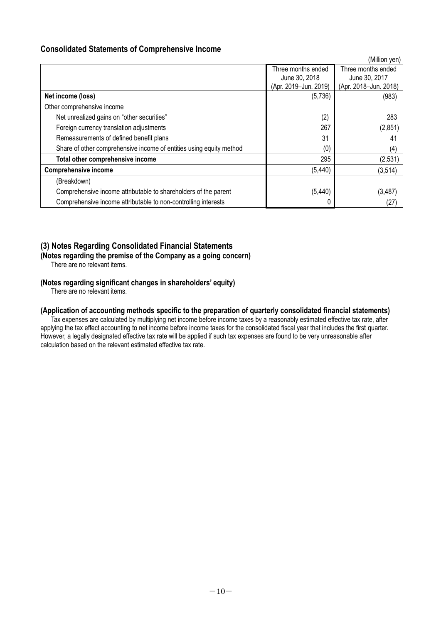# <span id="page-9-0"></span>**Consolidated Statements of Comprehensive Income**

|                                                                     |                       | (Million yen)         |
|---------------------------------------------------------------------|-----------------------|-----------------------|
|                                                                     | Three months ended    | Three months ended    |
|                                                                     | June 30, 2018         | June 30, 2017         |
|                                                                     | (Apr. 2019-Jun. 2019) | (Apr. 2018-Jun. 2018) |
| Net income (loss)                                                   | (5,736)               | (983)                 |
| Other comprehensive income                                          |                       |                       |
| Net unrealized gains on "other securities"                          | (2)                   | 283                   |
| Foreign currency translation adjustments                            | 267                   | (2,851)               |
| Remeasurements of defined benefit plans                             | 31                    | 41                    |
| Share of other comprehensive income of entities using equity method | (0)                   | (4)                   |
| Total other comprehensive income                                    | 295                   | (2,531)               |
| <b>Comprehensive income</b>                                         | (5, 440)              | (3, 514)              |
| (Breakdown)                                                         |                       |                       |
| Comprehensive income attributable to shareholders of the parent     | (5, 440)              | (3, 487)              |
| Comprehensive income attributable to non-controlling interests      |                       | (27)                  |

# <span id="page-9-1"></span>**(3) Notes Regarding Consolidated Financial Statements**

<span id="page-9-2"></span>**(Notes regarding the premise of the Company as a going concern)**

There are no relevant items.

### <span id="page-9-3"></span>**(Notes regarding significant changes in shareholders' equity)**

There are no relevant items.

### <span id="page-9-4"></span>**(Application of accounting methods specific to the preparation of quarterly consolidated financial statements)**

Tax expenses are calculated by multiplying net income before income taxes by a reasonably estimated effective tax rate, after applying the tax effect accounting to net income before income taxes for the consolidated fiscal year that includes the first quarter. However, a legally designated effective tax rate will be applied if such tax expenses are found to be very unreasonable after calculation based on the relevant estimated effective tax rate.